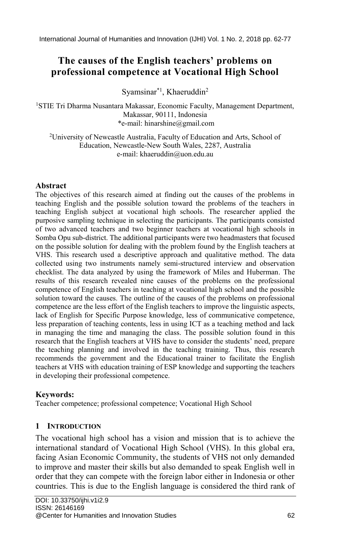# **The causes of the English teachers' problems on professional competence at Vocational High School**

Syamsinar\*1 , Khaeruddin<sup>2</sup>

<sup>1</sup>STIE Tri Dharma Nusantara Makassar, Economic Faculty, Management Department, Makassar, 90111, Indonesia \*e-mail: hinarshine@gmail.com

<sup>2</sup>University of Newcastle Australia, Faculty of Education and Arts, School of Education, Newcastle-New South Wales, 2287, Australia e-mail: khaeruddin@uon.edu.au

### **Abstract**

The objectives of this research aimed at finding out the causes of the problems in teaching English and the possible solution toward the problems of the teachers in teaching English subject at vocational high schools. The researcher applied the purposive sampling technique in selecting the participants. The participants consisted of two advanced teachers and two beginner teachers at vocational high schools in Somba Opu sub-district. The additional participants were two headmasters that focused on the possible solution for dealing with the problem found by the English teachers at VHS. This research used a descriptive approach and qualitative method. The data collected using two instruments namely semi-structured interview and observation checklist. The data analyzed by using the framework of Miles and Huberman. The results of this research revealed nine causes of the problems on the professional competence of English teachers in teaching at vocational high school and the possible solution toward the causes. The outline of the causes of the problems on professional competence are the less effort of the English teachers to improve the linguistic aspects, lack of English for Specific Purpose knowledge, less of communicative competence, less preparation of teaching contents, less in using ICT as a teaching method and lack in managing the time and managing the class. The possible solution found in this research that the English teachers at VHS have to consider the students' need, prepare the teaching planning and involved in the teaching training. Thus, this research recommends the government and the Educational trainer to facilitate the English teachers at VHS with education training of ESP knowledge and supporting the teachers in developing their professional competence.

## **Keywords:**

Teacher competence; professional competence; Vocational High School

## **1 INTRODUCTION**

The vocational high school has a vision and mission that is to achieve the international standard of Vocational High School (VHS). In this global era, facing Asian Economic Community, the students of VHS not only demanded to improve and master their skills but also demanded to speak English well in order that they can compete with the foreign labor either in Indonesia or other countries. This is due to the English language is considered the third rank of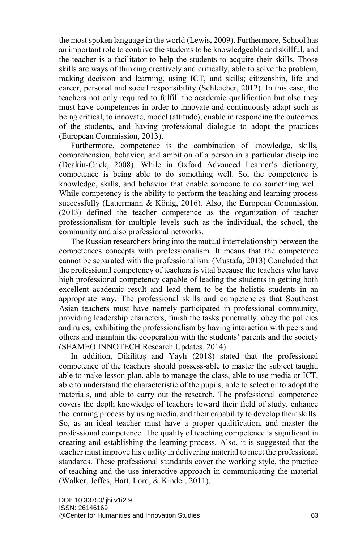the most spoken language in the world (Lewis, 2009). Furthermore, School has an important role to contrive the students to be knowledgeable and skillful, and the teacher is a facilitator to help the students to acquire their skills. Those skills are ways of thinking creatively and critically, able to solve the problem, making decision and learning, using ICT, and skills; citizenship, life and career, personal and social responsibility (Schleicher, 2012). In this case, the teachers not only required to fulfill the academic qualification but also they must have competences in order to innovate and continuously adapt such as being critical, to innovate, model (attitude), enable in responding the outcomes of the students, and having professional dialogue to adopt the practices (European Commission, 2013).

Furthermore, competence is the combination of knowledge, skills, comprehension, behavior, and ambition of a person in a particular discipline (Deakin-Crick, 2008). While in Oxford Advanced Learner's dictionary, competence is being able to do something well. So, the competence is knowledge, skills, and behavior that enable someone to do something well. While competency is the ability to perform the teaching and learning process successfully (Lauermann & König, 2016). Also, the European Commission, (2013) defined the teacher competence as the organization of teacher professionalism for multiple levels such as the individual, the school, the community and also professional networks.

The Russian researchers bring into the mutual interrelationship between the competences concepts with professionalism. It means that the competence cannot be separated with the professionalism. (Mustafa, 2013) Concluded that the professional competency of teachers is vital because the teachers who have high professional competency capable of leading the students in getting both excellent academic result and lead them to be the holistic students in an appropriate way. The professional skills and competencies that Southeast Asian teachers must have namely participated in professional community, providing leadership characters, finish the tasks punctually, obey the policies and rules, exhibiting the professionalism by having interaction with peers and others and maintain the cooperation with the students' parents and the society (SEAMEO INNOTECH Research Updates, 2014).

In addition, Dikilitaş and Yaylı (2018) stated that the professional competence of the teachers should possess-able to master the subject taught, able to make lesson plan, able to manage the class, able to use media or ICT, able to understand the characteristic of the pupils, able to select or to adopt the materials, and able to carry out the research. The professional competence covers the depth knowledge of teachers toward their field of study, enhance the learning process by using media, and their capability to develop their skills. So, as an ideal teacher must have a proper qualification, and master the professional competence. The quality of teaching competence is significant in creating and establishing the learning process. Also, it is suggested that the teacher must improve his quality in delivering material to meet the professional standards. These professional standards cover the working style, the practice of teaching and the use interactive approach in communicating the material (Walker, Jeffes, Hart, Lord, & Kinder, 2011).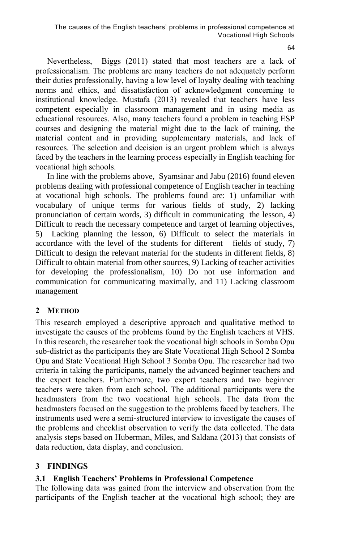Nevertheless, Biggs (2011) stated that most teachers are a lack of professionalism. The problems are many teachers do not adequately perform their duties professionally, having a low level of loyalty dealing with teaching norms and ethics, and dissatisfaction of acknowledgment concerning to institutional knowledge. Mustafa (2013) revealed that teachers have less competent especially in classroom management and in using media as educational resources. Also, many teachers found a problem in teaching ESP courses and designing the material might due to the lack of training, the material content and in providing supplementary materials, and lack of resources. The selection and decision is an urgent problem which is always faced by the teachers in the learning process especially in English teaching for vocational high schools.

In line with the problems above, Syamsinar and Jabu (2016) found eleven problems dealing with professional competence of English teacher in teaching at vocational high schools. The problems found are: 1) unfamiliar with vocabulary of unique terms for various fields of study, 2) lacking pronunciation of certain words, 3) difficult in communicating the lesson, 4) Difficult to reach the necessary competence and target of learning objectives, 5) Lacking planning the lesson, 6) Difficult to select the materials in accordance with the level of the students for different fields of study, 7) Difficult to design the relevant material for the students in different fields, 8) Difficult to obtain material from other sources, 9) Lacking of teacher activities for developing the professionalism, 10) Do not use information and communication for communicating maximally, and 11) Lacking classroom management

## **2 METHOD**

This research employed a descriptive approach and qualitative method to investigate the causes of the problems found by the English teachers at VHS. In this research, the researcher took the vocational high schools in Somba Opu sub-district as the participants they are State Vocational High School 2 Somba Opu and State Vocational High School 3 Somba Opu. The researcher had two criteria in taking the participants, namely the advanced beginner teachers and the expert teachers. Furthermore, two expert teachers and two beginner teachers were taken from each school. The additional participants were the headmasters from the two vocational high schools. The data from the headmasters focused on the suggestion to the problems faced by teachers. The instruments used were a semi-structured interview to investigate the causes of the problems and checklist observation to verify the data collected. The data analysis steps based on Huberman, Miles, and Saldana (2013) that consists of data reduction, data display, and conclusion.

## **3 FINDINGS**

## **3.1 English Teachers' Problems in Professional Competence**

The following data was gained from the interview and observation from the participants of the English teacher at the vocational high school; they are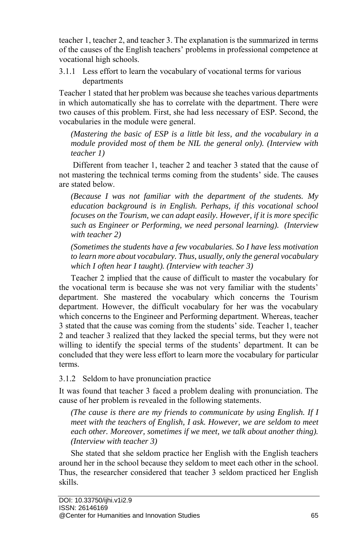teacher 1, teacher 2, and teacher 3. The explanation is the summarized in terms of the causes of the English teachers' problems in professional competence at vocational high schools.

3.1.1 Less effort to learn the vocabulary of vocational terms for various departments

Teacher 1 stated that her problem was because she teaches various departments in which automatically she has to correlate with the department. There were two causes of this problem. First, she had less necessary of ESP. Second, the vocabularies in the module were general.

*(Mastering the basic of ESP is a little bit less, and the vocabulary in a module provided most of them be NIL the general only). (Interview with teacher 1)*

Different from teacher 1, teacher 2 and teacher 3 stated that the cause of not mastering the technical terms coming from the students' side. The causes are stated below.

*(Because I was not familiar with the department of the students. My education background is in English. Perhaps, if this vocational school focuses on the Tourism, we can adapt easily. However, if it is more specific such as Engineer or Performing, we need personal learning). (Interview with teacher 2)*

*(Sometimes the students have a few vocabularies. So I have less motivation to learn more about vocabulary. Thus, usually, only the general vocabulary which I often hear I taught). (Interview with teacher 3)*

Teacher 2 implied that the cause of difficult to master the vocabulary for the vocational term is because she was not very familiar with the students' department. She mastered the vocabulary which concerns the Tourism department. However, the difficult vocabulary for her was the vocabulary which concerns to the Engineer and Performing department. Whereas, teacher 3 stated that the cause was coming from the students' side. Teacher 1, teacher 2 and teacher 3 realized that they lacked the special terms, but they were not willing to identify the special terms of the students' department. It can be concluded that they were less effort to learn more the vocabulary for particular terms.

3.1.2 Seldom to have pronunciation practice

It was found that teacher 3 faced a problem dealing with pronunciation. The cause of her problem is revealed in the following statements.

*(The cause is there are my friends to communicate by using English. If I meet with the teachers of English, I ask. However, we are seldom to meet each other. Moreover, sometimes if we meet, we talk about another thing). (Interview with teacher 3)*

She stated that she seldom practice her English with the English teachers around her in the school because they seldom to meet each other in the school. Thus, the researcher considered that teacher 3 seldom practiced her English skills.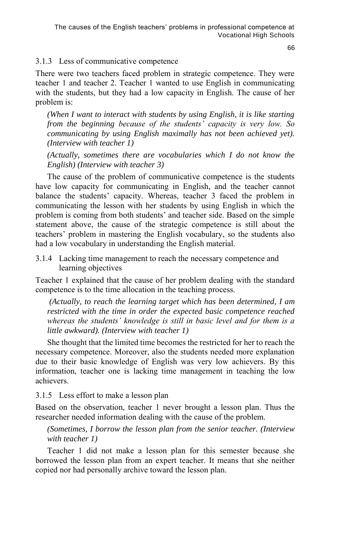## 3.1.3 Less of communicative competence

There were two teachers faced problem in strategic competence. They were teacher 1 and teacher 2. Teacher 1 wanted to use English in communicating with the students, but they had a low capacity in English. The cause of her problem is:

*(When I want to interact with students by using English, it is like starting from the beginning because of the students' capacity is very low. So communicating by using English maximally has not been achieved yet). (Interview with teacher 1)*

*(Actually, sometimes there are vocabularies which I do not know the English) (Interview with teacher 3)*

The cause of the problem of communicative competence is the students have low capacity for communicating in English, and the teacher cannot balance the students' capacity. Whereas, teacher 3 faced the problem in communicating the lesson with her students by using English in which the problem is coming from both students' and teacher side. Based on the simple statement above, the cause of the strategic competence is still about the teachers' problem in mastering the English vocabulary, so the students also had a low vocabulary in understanding the English material.

3.1.4 Lacking time management to reach the necessary competence and learning objectives

Teacher 1 explained that the cause of her problem dealing with the standard competence is to the time allocation in the teaching process.

*(Actually, to reach the learning target which has been determined, I am restricted with the time in order the expected basic competence reached whereas the students' knowledge is still in basic level and for them is a little awkward). (Interview with teacher 1)*

She thought that the limited time becomes the restricted for her to reach the necessary competence. Moreover, also the students needed more explanation due to their basic knowledge of English was very low achievers. By this information, teacher one is lacking time management in teaching the low achievers.

3.1.5 Less effort to make a lesson plan

Based on the observation, teacher 1 never brought a lesson plan. Thus the researcher needed information dealing with the cause of the problem.

*(Sometimes, I borrow the lesson plan from the senior teacher. (Interview with teacher 1)*

Teacher 1 did not make a lesson plan for this semester because she borrowed the lesson plan from an expert teacher. It means that she neither copied nor had personally archive toward the lesson plan.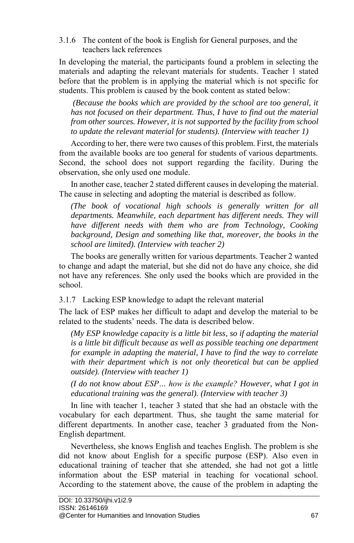3.1.6 The content of the book is English for General purposes, and the teachers lack references

In developing the material, the participants found a problem in selecting the materials and adapting the relevant materials for students. Teacher 1 stated before that the problem is in applying the material which is not specific for students. This problem is caused by the book content as stated below:

*(Because the books which are provided by the school are too general, it has not focused on their department. Thus, I have to find out the material from other sources. However, it is not supported by the facility from school to update the relevant material for students). (Interview with teacher 1)*

According to her, there were two causes of this problem. First, the materials from the available books are too general for students of various departments. Second, the school does not support regarding the facility. During the observation, she only used one module.

In another case, teacher 2 stated different causes in developing the material. The cause in selecting and adopting the material is described as follow.

*(The book of vocational high schools is generally written for all departments. Meanwhile, each department has different needs. They will have different needs with them who are from Technology, Cooking background, Design and something like that, moreover, the books in the school are limited). (Interview with teacher 2)*

The books are generally written for various departments. Teacher 2 wanted to change and adapt the material, but she did not do have any choice, she did not have any references. She only used the books which are provided in the school.

3.1.7 Lacking ESP knowledge to adapt the relevant material

The lack of ESP makes her difficult to adapt and develop the material to be related to the students' needs. The data is described below.

*(My ESP knowledge capacity is a little bit less, so if adapting the material is a little bit difficult because as well as possible teaching one department for example in adapting the material, I have to find the way to correlate with their department which is not only theoretical but can be applied outside). (Interview with teacher 1)*

*(I do not know about ESP… how is the example? However, what I got in educational training was the general). (Interview with teacher 3)*

In line with teacher 1, teacher 3 stated that she had an obstacle with the vocabulary for each department. Thus, she taught the same material for different departments. In another case, teacher 3 graduated from the Non-English department.

Nevertheless, she knows English and teaches English. The problem is she did not know about English for a specific purpose (ESP). Also even in educational training of teacher that she attended, she had not got a little information about the ESP material in teaching for vocational school. According to the statement above, the cause of the problem in adapting the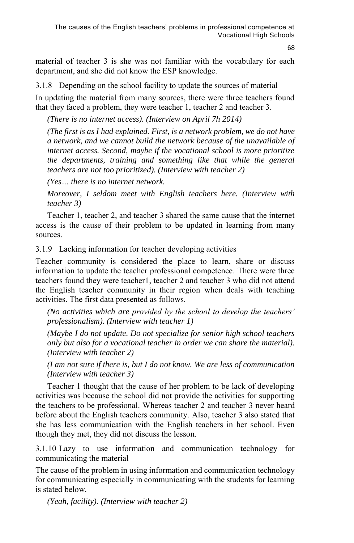material of teacher 3 is she was not familiar with the vocabulary for each department, and she did not know the ESP knowledge.

3.1.8 Depending on the school facility to update the sources of material

In updating the material from many sources, there were three teachers found that they faced a problem, they were teacher 1, teacher 2 and teacher 3.

*(There is no internet access). (Interview on April 7h 2014)*

*(The first is as I had explained. First, is a network problem, we do not have a network, and we cannot build the network because of the unavailable of internet access. Second, maybe if the vocational school is more prioritize the departments, training and something like that while the general teachers are not too prioritized). (Interview with teacher 2)*

*(Yes… there is no internet network.*

*Moreover, I seldom meet with English teachers here. (Interview with teacher 3)*

Teacher 1, teacher 2, and teacher 3 shared the same cause that the internet access is the cause of their problem to be updated in learning from many sources.

3.1.9 Lacking information for teacher developing activities

Teacher community is considered the place to learn, share or discuss information to update the teacher professional competence. There were three teachers found they were teacher1, teacher 2 and teacher 3 who did not attend the English teacher community in their region when deals with teaching activities. The first data presented as follows.

*(No activities which are provided by the school to develop the teachers' professionalism). (Interview with teacher 1)*

*(Maybe I do not update. Do not specialize for senior high school teachers only but also for a vocational teacher in order we can share the material). (Interview with teacher 2)*

*(I am not sure if there is, but I do not know. We are less of communication (Interview with teacher 3)*

Teacher 1 thought that the cause of her problem to be lack of developing activities was because the school did not provide the activities for supporting the teachers to be professional. Whereas teacher 2 and teacher 3 never heard before about the English teachers community. Also, teacher 3 also stated that she has less communication with the English teachers in her school. Even though they met, they did not discuss the lesson.

3.1.10 Lazy to use information and communication technology for communicating the material

The cause of the problem in using information and communication technology for communicating especially in communicating with the students for learning is stated below.

*(Yeah, facility). (Interview with teacher 2)*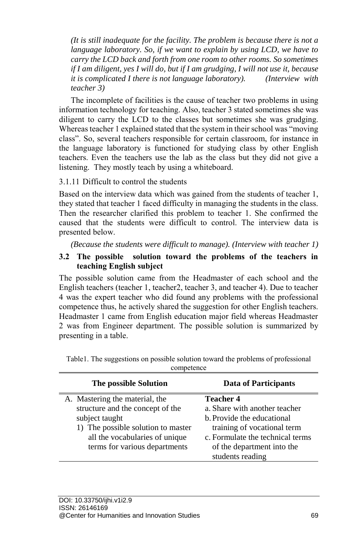*(It is still inadequate for the facility. The problem is because there is not a language laboratory. So, if we want to explain by using LCD, we have to carry the LCD back and forth from one room to other rooms. So sometimes if I am diligent, yes I will do, but if I am grudging, I will not use it, because it is complicated I there is not language laboratory). (Interview with teacher 3)*

The incomplete of facilities is the cause of teacher two problems in using information technology for teaching. Also, teacher 3 stated sometimes she was diligent to carry the LCD to the classes but sometimes she was grudging. Whereas teacher 1 explained stated that the system in their school was "moving class". So, several teachers responsible for certain classroom, for instance in the language laboratory is functioned for studying class by other English teachers. Even the teachers use the lab as the class but they did not give a listening. They mostly teach by using a whiteboard.

3.1.11 Difficult to control the students

Based on the interview data which was gained from the students of teacher 1, they stated that teacher 1 faced difficulty in managing the students in the class. Then the researcher clarified this problem to teacher 1. She confirmed the caused that the students were difficult to control. The interview data is presented below.

*(Because the students were difficult to manage). (Interview with teacher 1)*

## **3.2 The possible solution toward the problems of the teachers in teaching English subject**

The possible solution came from the Headmaster of each school and the English teachers (teacher 1, teacher2, teacher 3, and teacher 4). Due to teacher 4 was the expert teacher who did found any problems with the professional competence thus, he actively shared the suggestion for other English teachers. Headmaster 1 came from English education major field whereas Headmaster 2 was from Engineer department. The possible solution is summarized by presenting in a table.

| The possible Solution                                                                                                                                                                         | Data of Participants                                                                                                                                                                                 |
|-----------------------------------------------------------------------------------------------------------------------------------------------------------------------------------------------|------------------------------------------------------------------------------------------------------------------------------------------------------------------------------------------------------|
| A. Mastering the material, the<br>structure and the concept of the<br>subject taught<br>1) The possible solution to master<br>all the vocabularies of unique<br>terms for various departments | <b>Teacher 4</b><br>a. Share with another teacher<br>b. Provide the educational<br>training of vocational term<br>c. Formulate the technical terms<br>of the department into the<br>students reading |

Table1. The suggestions on possible solution toward the problems of professional competence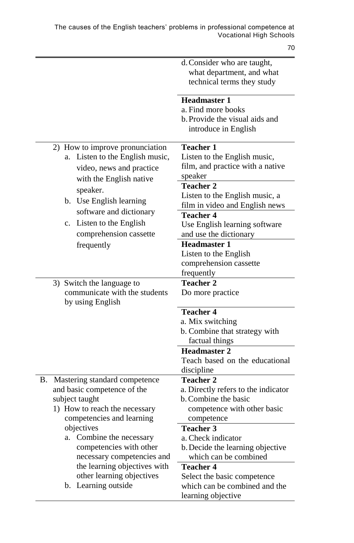|                                                   | d. Consider who are taught,                             |
|---------------------------------------------------|---------------------------------------------------------|
|                                                   | what department, and what                               |
|                                                   | technical terms they study                              |
|                                                   |                                                         |
|                                                   | <b>Headmaster 1</b>                                     |
|                                                   | a. Find more books                                      |
|                                                   | b. Provide the visual aids and                          |
|                                                   | introduce in English                                    |
| 2) How to improve pronunciation                   | <b>Teacher 1</b>                                        |
| Listen to the English music,<br>a.                | Listen to the English music,                            |
| video, news and practice                          | film, and practice with a native                        |
|                                                   | speaker                                                 |
| with the English native                           | <b>Teacher 2</b>                                        |
| speaker.                                          | Listen to the English music, a                          |
| b. Use English learning                           | film in video and English news                          |
| software and dictionary                           | <b>Teacher 4</b>                                        |
| c. Listen to the English                          |                                                         |
|                                                   | Use English learning software<br>and use the dictionary |
| comprehension cassette                            | <b>Headmaster 1</b>                                     |
| frequently                                        |                                                         |
|                                                   | Listen to the English                                   |
|                                                   | comprehension cassette                                  |
|                                                   | frequently                                              |
| 3) Switch the language to                         | <b>Teacher 2</b>                                        |
| communicate with the students<br>by using English | Do more practice                                        |
|                                                   | <b>Teacher 4</b>                                        |
|                                                   | a. Mix switching                                        |
|                                                   | b. Combine that strategy with                           |
|                                                   | factual things                                          |
|                                                   | <b>Headmaster 2</b>                                     |
|                                                   | Teach based on the educational                          |
|                                                   | discipline                                              |
| Β.<br>Mastering standard competence               | <b>Teacher 2</b>                                        |
| and basic competence of the                       | a. Directly refers to the indicator                     |
| subject taught                                    | b. Combine the basic                                    |
| 1) How to reach the necessary                     | competence with other basic                             |
| competencies and learning                         | competence                                              |
| objectives                                        | <b>Teacher 3</b>                                        |
| a. Combine the necessary                          | a. Check indicator                                      |
| competencies with other                           | b. Decide the learning objective                        |
| necessary competencies and                        | which can be combined                                   |
| the learning objectives with                      | <b>Teacher 4</b>                                        |
| other learning objectives                         | Select the basic competence                             |
| b. Learning outside                               | which can be combined and the                           |
|                                                   | learning objective                                      |
|                                                   |                                                         |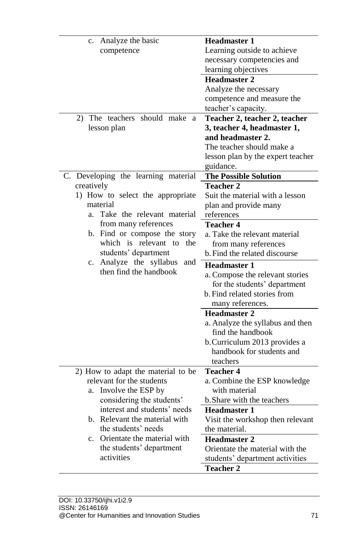| Analyze the basic<br>c.                    | <b>Headmaster 1</b>               |
|--------------------------------------------|-----------------------------------|
| competence                                 | Learning outside to achieve       |
|                                            | necessary competencies and        |
|                                            | learning objectives               |
|                                            | <b>Headmaster 2</b>               |
|                                            | Analyze the necessary             |
|                                            | competence and measure the        |
|                                            | teacher's capacity.               |
| The teachers should make a<br>2)           | Teacher 2, teacher 2, teacher     |
| lesson plan                                | 3, teacher 4, headmaster 1,       |
|                                            | and headmaster 2.                 |
|                                            | The teacher should make a         |
|                                            | lesson plan by the expert teacher |
|                                            | guidance.                         |
| C. Developing the learning material        | <b>The Possible Solution</b>      |
| creatively                                 | <b>Teacher 2</b>                  |
| 1) How to select the appropriate           | Suit the material with a lesson   |
| material                                   | plan and provide many             |
| Take the relevant material<br>a.           | references                        |
| from many references                       | <b>Teacher 4</b>                  |
| b. Find or compose the story               | a. Take the relevant material     |
| which is relevant to the                   | from many references              |
| students' department                       | b. Find the related discourse     |
| c. Analyze the syllabus<br>and             | <b>Headmaster 1</b>               |
| then find the handbook                     | a. Compose the relevant stories   |
|                                            | for the students' department      |
|                                            | b. Find related stories from      |
|                                            | many references.                  |
|                                            | <b>Headmaster 2</b>               |
|                                            | a. Analyze the syllabus and then  |
|                                            | find the handbook                 |
|                                            | b. Curriculum 2013 provides a     |
|                                            | handbook for students and         |
|                                            | teachers                          |
| 2) How to adapt the material to be         | <b>Teacher 4</b>                  |
| relevant for the students                  | a. Combine the ESP knowledge      |
| Involve the ESP by<br>a.                   | with material                     |
| considering the students'                  | b. Share with the teachers        |
| interest and students' needs               | Headmaster 1                      |
| b. Relevant the material with              | Visit the workshop then relevant  |
| the students' needs                        | the material.                     |
| Orientate the material with<br>$c_{\cdot}$ | <b>Headmaster 2</b>               |
| the students' department                   | Orientate the material with the   |
| activities                                 | students' department activities   |
|                                            | <b>Teacher 2</b>                  |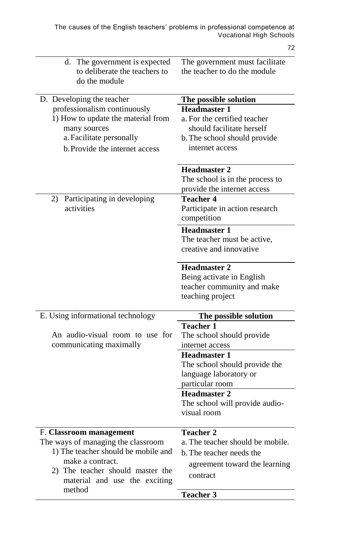| d. The government is expected<br>to deliberate the teachers to<br>do the module                                                                                                                         | The government must facilitate<br>the teacher to do the module                                                                                                                                                                                           |
|---------------------------------------------------------------------------------------------------------------------------------------------------------------------------------------------------------|----------------------------------------------------------------------------------------------------------------------------------------------------------------------------------------------------------------------------------------------------------|
| D. Developing the teacher<br>professionalism continuously<br>1) How to update the material from<br>many sources<br>a. Facilitate personally<br>b. Provide the internet access                           | The possible solution<br><b>Headmaster 1</b><br>a. For the certified teacher<br>should facilitate herself<br>b. The school should provide<br>internet access<br><b>Headmaster 2</b><br>The school is in the process to<br>provide the internet access    |
| Participating in developing<br>2)<br>activities                                                                                                                                                         | <b>Teacher 4</b><br>Participate in action research<br>competition<br><b>Headmaster 1</b><br>The teacher must be active,<br>creative and innovative<br><b>Headmaster 2</b><br>Being activate in English<br>teacher community and make<br>teaching project |
| E. Using informational technology                                                                                                                                                                       | The possible solution                                                                                                                                                                                                                                    |
| An audio-visual room to use for<br>communicating maximally                                                                                                                                              | <b>Teacher 1</b><br>The school should provide<br>internet access<br><b>Headmaster 1</b><br>The school should provide the<br>language laboratory or<br>particular room<br>Headmaster 2<br>The school will provide audio-<br>visual room                   |
| F. Classroom management<br>The ways of managing the classroom<br>1) The teacher should be mobile and<br>make a contract.<br>2) The teacher should master the<br>material and use the exciting<br>method | <b>Teacher 2</b><br>a. The teacher should be mobile.<br>b. The teacher needs the<br>agreement toward the learning<br>contract<br><b>Teacher 3</b>                                                                                                        |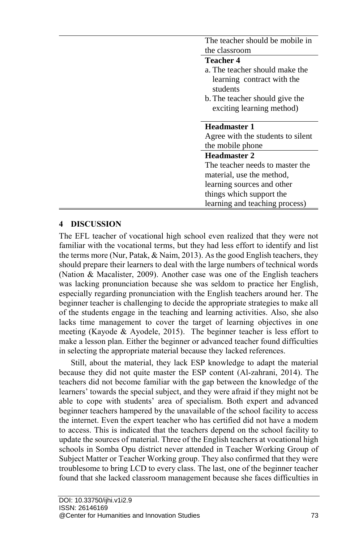| The teacher should be mobile in        |
|----------------------------------------|
| the classroom                          |
| <b>Teacher 4</b>                       |
| a. The teacher should make the         |
| learning contract with the<br>students |
| b. The teacher should give the         |
| exciting learning method)              |
|                                        |
| <b>Headmaster 1</b>                    |
|                                        |
| Agree with the students to silent      |
| the mobile phone                       |
| Headmaster 2                           |
| The teacher needs to master the        |
| material, use the method,              |
| learning sources and other             |
| things which support the               |

## **4 DISCUSSION**

The EFL teacher of vocational high school even realized that they were not familiar with the vocational terms, but they had less effort to identify and list the terms more (Nur, Patak, & Naim, 2013). As the good English teachers, they should prepare their learners to deal with the large numbers of technical words (Nation & Macalister, 2009). Another case was one of the English teachers was lacking pronunciation because she was seldom to practice her English, especially regarding pronunciation with the English teachers around her. The beginner teacher is challenging to decide the appropriate strategies to make all of the students engage in the teaching and learning activities. Also, she also lacks time management to cover the target of learning objectives in one meeting (Kayode & Ayodele, 2015). The beginner teacher is less effort to make a lesson plan. Either the beginner or advanced teacher found difficulties in selecting the appropriate material because they lacked references.

Still, about the material, they lack ESP knowledge to adapt the material because they did not quite master the ESP content (Al-zahrani, 2014). The teachers did not become familiar with the gap between the knowledge of the learners' towards the special subject, and they were afraid if they might not be able to cope with students' area of specialism. Both expert and advanced beginner teachers hampered by the unavailable of the school facility to access the internet. Even the expert teacher who has certified did not have a modem to access. This is indicated that the teachers depend on the school facility to update the sources of material. Three of the English teachers at vocational high schools in Somba Opu district never attended in Teacher Working Group of Subject Matter or Teacher Working group. They also confirmed that they were troublesome to bring LCD to every class. The last, one of the beginner teacher found that she lacked classroom management because she faces difficulties in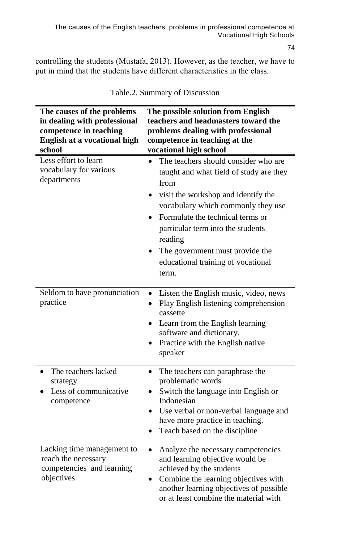controlling the students (Mustafa, 2013). However, as the teacher, we have to put in mind that the students have different characteristics in the class.

| The causes of the problems<br>in dealing with professional<br>competence in teaching<br>English at a vocational high<br>school | The possible solution from English<br>teachers and headmasters toward the<br>problems dealing with professional<br>competence in teaching at the<br>vocational high school                                                                                                                                                                              |
|--------------------------------------------------------------------------------------------------------------------------------|---------------------------------------------------------------------------------------------------------------------------------------------------------------------------------------------------------------------------------------------------------------------------------------------------------------------------------------------------------|
| Less effort to learn<br>vocabulary for various<br>departments                                                                  | The teachers should consider who are<br>$\bullet$<br>taught and what field of study are they<br>from<br>visit the workshop and identify the<br>vocabulary which commonly they use<br>Formulate the technical terms or<br>particular term into the students<br>reading<br>The government must provide the<br>educational training of vocational<br>term. |
| Seldom to have pronunciation<br>practice                                                                                       | Listen the English music, video, news<br>Play English listening comprehension<br>$\bullet$<br>cassette<br>Learn from the English learning<br>software and dictionary.<br>Practice with the English native<br>$\bullet$<br>speaker                                                                                                                       |
| The teachers lacked<br>strategy<br>Less of communicative<br>competence                                                         | The teachers can paraphrase the<br>$\bullet$<br>problematic words<br>Switch the language into English or<br>Indonesian<br>Use verbal or non-verbal language and<br>have more practice in teaching.<br>Teach based on the discipline                                                                                                                     |
| Lacking time management to<br>reach the necessary<br>competencies and learning<br>objectives                                   | Analyze the necessary competencies<br>and learning objective would be<br>achieved by the students<br>Combine the learning objectives with<br>another learning objectives of possible<br>or at least combine the material with                                                                                                                           |

Table.2. Summary of Discussion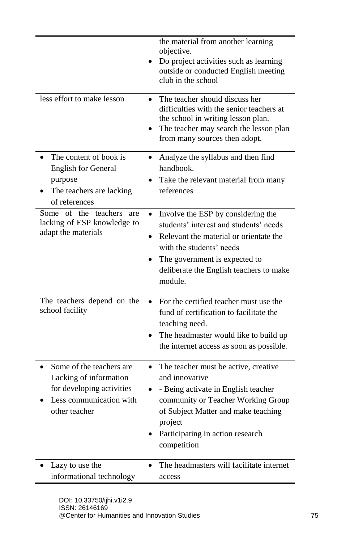| less effort to make lesson                                                                                                  | the material from another learning<br>objective.<br>Do project activities such as learning<br>outside or conducted English meeting<br>club in the school<br>The teacher should discuss her<br>difficulties with the senior teachers at<br>the school in writing lesson plan.<br>The teacher may search the lesson plan |
|-----------------------------------------------------------------------------------------------------------------------------|------------------------------------------------------------------------------------------------------------------------------------------------------------------------------------------------------------------------------------------------------------------------------------------------------------------------|
|                                                                                                                             | from many sources then adopt.                                                                                                                                                                                                                                                                                          |
| The content of book is<br><b>English for General</b><br>purpose<br>The teachers are lacking<br>of references                | Analyze the syllabus and then find<br>$\bullet$<br>handbook.<br>Take the relevant material from many<br>references                                                                                                                                                                                                     |
| Some of<br>the teachers<br>are<br>lacking of ESP knowledge to<br>adapt the materials                                        | Involve the ESP by considering the<br>students' interest and students' needs<br>Relevant the material or orientate the<br>with the students' needs<br>The government is expected to<br>deliberate the English teachers to make<br>module.                                                                              |
| The teachers depend on the<br>school facility                                                                               | For the certified teacher must use the<br>fund of certification to facilitate the<br>teaching need.<br>The headmaster would like to build up<br>the internet access as soon as possible.                                                                                                                               |
| Some of the teachers are<br>Lacking of information<br>for developing activities<br>Less communication with<br>other teacher | The teacher must be active, creative<br>٠<br>and innovative<br>- Being activate in English teacher<br>community or Teacher Working Group<br>of Subject Matter and make teaching<br>project<br>Participating in action research<br>competition                                                                          |
| Lazy to use the<br>informational technology                                                                                 | The headmasters will facilitate internet<br>access                                                                                                                                                                                                                                                                     |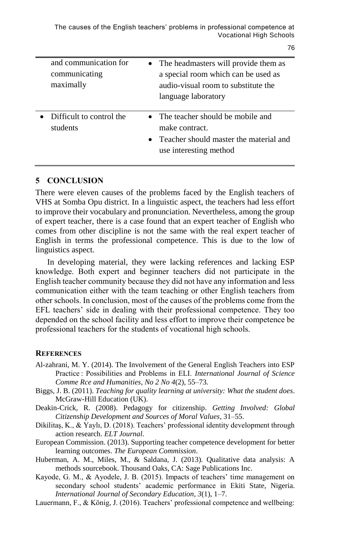The causes of the English teachers' problems in professional competence at Vocational High Schools

| and communication for<br>communicating<br>maximally | The headmasters will provide them as<br>a special room which can be used as<br>audio-visual room to substitute the<br>language laboratory |
|-----------------------------------------------------|-------------------------------------------------------------------------------------------------------------------------------------------|
| Difficult to control the<br>students                | • The teacher should be mobile and<br>make contract.<br>Teacher should master the material and<br>use interesting method                  |
|                                                     | $\bullet$                                                                                                                                 |

#### **5 CONCLUSION**

ä,

There were eleven causes of the problems faced by the English teachers of VHS at Somba Opu district. In a linguistic aspect, the teachers had less effort to improve their vocabulary and pronunciation. Nevertheless, among the group of expert teacher, there is a case found that an expert teacher of English who comes from other discipline is not the same with the real expert teacher of English in terms the professional competence. This is due to the low of linguistics aspect.

In developing material, they were lacking references and lacking ESP knowledge. Both expert and beginner teachers did not participate in the English teacher community because they did not have any information and less communication either with the team teaching or other English teachers from other schools. In conclusion, most of the causes of the problems come from the EFL teachers' side in dealing with their professional competence. They too depended on the school facility and less effort to improve their competence be professional teachers for the students of vocational high schools.

### **REFERENCES**

- Al-zahrani, M. Y. (2014). The Involvement of the General English Teachers into ESP Practice : Possibilities and Problems in ELI. *International Journal of Science Comme Rce and Humanities*, *No 2 No 4*(2), 55–73.
- Biggs, J. B. (2011). *Teaching for quality learning at university: What the student does*. McGraw-Hill Education (UK).

Deakin-Crick, R. (2008). Pedagogy for citizenship. *Getting Involved: Global Citizenship Development and Sources of Moral Values*, 31–55.

Dikilitaş, K., & Yaylı, D. (2018). Teachers' professional identity development through action research. *ELT Journal*.

European Commission. (2013). Supporting teacher competence development for better learning outcomes. *The European Commission*.

- Huberman, A. M., Miles, M., & Saldana, J. (2013). Qualitative data analysis: A methods sourcebook. Thousand Oaks, CA: Sage Publications Inc.
- Kayode, G. M., & Ayodele, J. B. (2015). Impacts of teachers' time management on secondary school students' academic performance in Ekiti State, Nigeria. *International Journal of Secondary Education*, *3*(1), 1–7.
- Lauermann, F., & König, J. (2016). Teachers' professional competence and wellbeing: